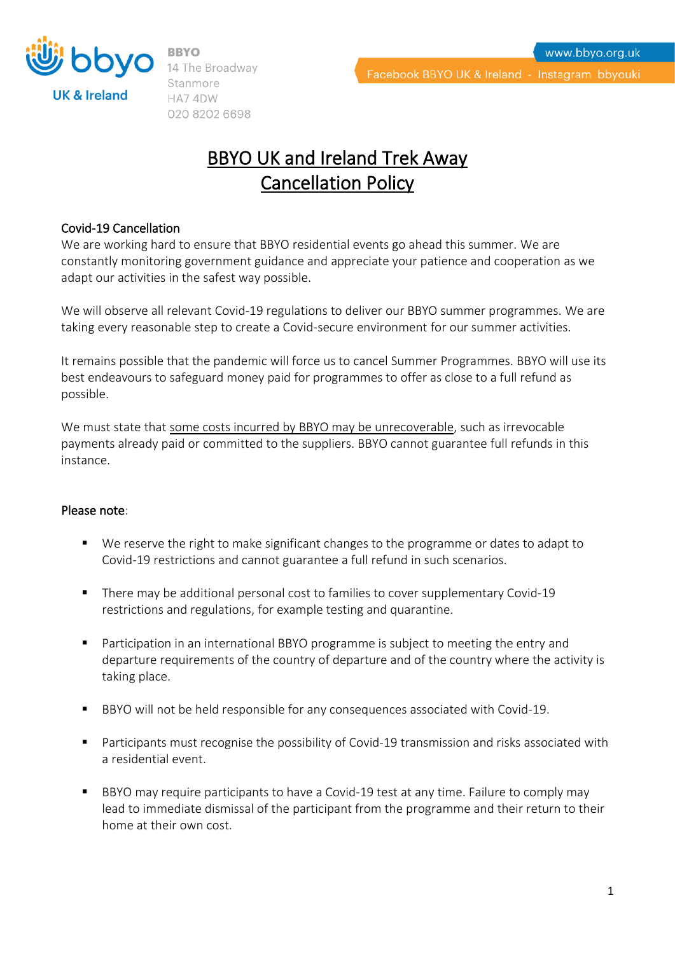

UK & Ireland

14 The Broadway Stanmore HA74DW 020 8202 6698

# BBYO UK and Ireland Trek Away Cancellation Policy

#### Covid-19 Cancellation

We are working hard to ensure that BBYO residential events go ahead this summer. We are constantly monitoring government guidance and appreciate your patience and cooperation as we adapt our activities in the safest way possible.

We will observe all relevant Covid-19 regulations to deliver our BBYO summer programmes. We are taking every reasonable step to create a Covid-secure environment for our summer activities.

It remains possible that the pandemic will force us to cancel Summer Programmes. BBYO will use its best endeavours to safeguard money paid for programmes to offer as close to a full refund as possible.

We must state that some costs incurred by BBYO may be unrecoverable, such as irrevocable payments already paid or committed to the suppliers. BBYO cannot guarantee full refunds in this instance.

### Please note:

- We reserve the right to make significant changes to the programme or dates to adapt to Covid-19 restrictions and cannot guarantee a full refund in such scenarios.
- There may be additional personal cost to families to cover supplementary Covid-19 restrictions and regulations, for example testing and quarantine.
- Participation in an international BBYO programme is subject to meeting the entry and departure requirements of the country of departure and of the country where the activity is taking place.
- BBYO will not be held responsible for any consequences associated with Covid-19.
- Participants must recognise the possibility of Covid-19 transmission and risks associated with a residential event.
- BBYO may require participants to have a Covid-19 test at any time. Failure to comply may lead to immediate dismissal of the participant from the programme and their return to their home at their own cost.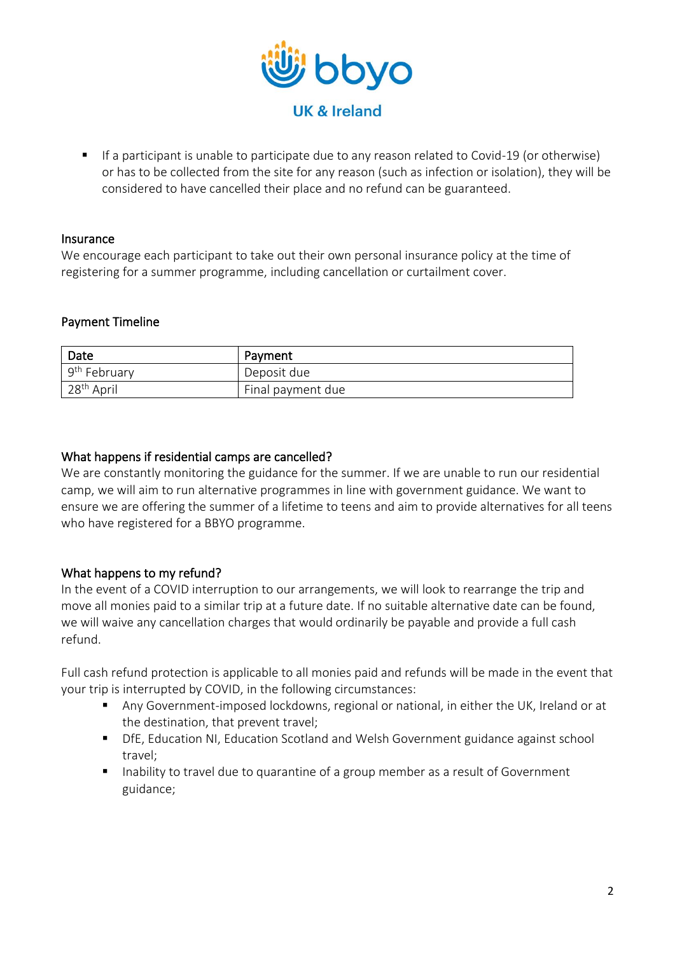

■ If a participant is unable to participate due to any reason related to Covid-19 (or otherwise) or has to be collected from the site for any reason (such as infection or isolation), they will be considered to have cancelled their place and no refund can be guaranteed.

#### Insurance

We encourage each participant to take out their own personal insurance policy at the time of registering for a summer programme, including cancellation or curtailment cover.

### Payment Timeline

| Date           | Payment           |
|----------------|-------------------|
| $9th$ February | Deposit due       |
| $28th$ April   | Final payment due |

### What happens if residential camps are cancelled?

We are constantly monitoring the guidance for the summer. If we are unable to run our residential camp, we will aim to run alternative programmes in line with government guidance. We want to ensure we are offering the summer of a lifetime to teens and aim to provide alternatives for all teens who have registered for a BBYO programme.

### What happens to my refund?

In the event of a COVID interruption to our arrangements, we will look to rearrange the trip and move all monies paid to a similar trip at a future date. If no suitable alternative date can be found, we will waive any cancellation charges that would ordinarily be payable and provide a full cash refund.

Full cash refund protection is applicable to all monies paid and refunds will be made in the event that your trip is interrupted by COVID, in the following circumstances:

- Any Government-imposed lockdowns, regional or national, in either the UK, Ireland or at the destination, that prevent travel;
- DfE, Education NI, Education Scotland and Welsh Government guidance against school travel;
- Inability to travel due to quarantine of a group member as a result of Government guidance;